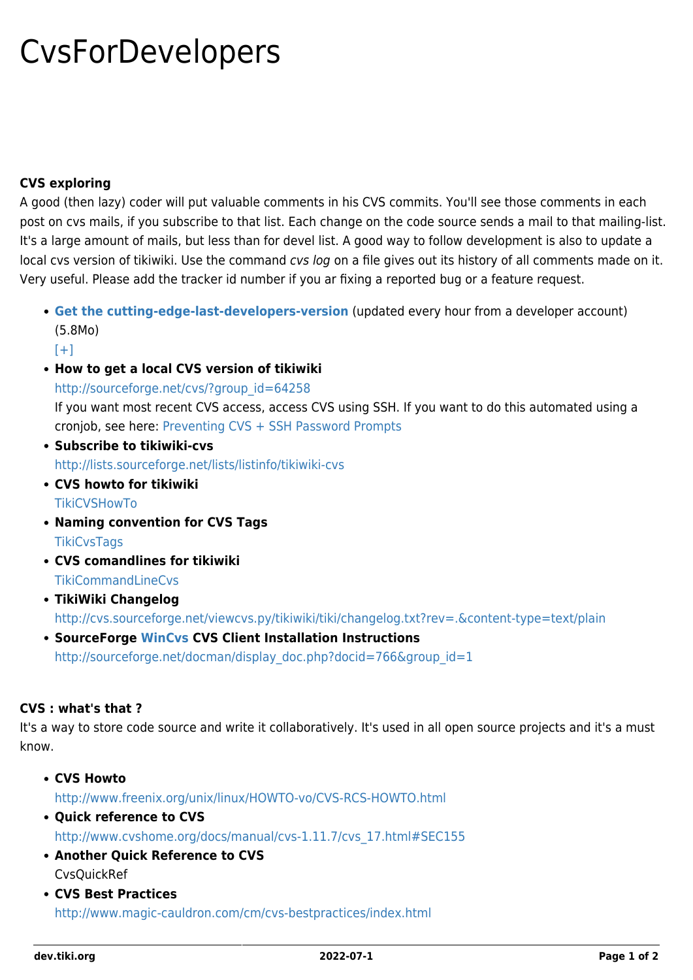## CvsForDevelopers

## **CVS exploring**

A good (then lazy) coder will put valuable comments in his CVS commits. You'll see those comments in each post on cvs mails, if you subscribe to that list. Each change on the code source sends a mail to that mailing-list. It's a large amount of mails, but less than for devel list. A good way to follow development is also to update a local cvs version of tikiwiki. Use the command cvs log on a file gives out its history of all comments made on it. Very useful. Please add the tracker id number if you ar fixing a reported bug or a feature request.

**[Get the cutting-edge-last-developers-version](http://tiki.org/lastiki19.tar.bz2)** (updated every hour from a developer account) (5.8Mo)

 $[+]$ 

**How to get a local CVS version of tikiwiki**

[http://sourceforge.net/cvs/?group\\_id=64258](http://sourceforge.net/cvs/?group_id=64258)

If you want most recent CVS access, access CVS using SSH. If you want to do this automated using a cronjob, see here: [Preventing CVS + SSH Password Prompts](http://www.joot.com/dave/writings/articles/cvs-ssh.html)

- **Subscribe to tikiwiki-cvs** <http://lists.sourceforge.net/lists/listinfo/tikiwiki-cvs>
- **CVS howto for tikiwiki [TikiCVSHowTo](http://tiki.org/TikiCVSHowTo)**
- **Naming convention for CVS Tags [TikiCvsTags](http://tiki.org/TikiCvsTags)**
- **CVS comandlines for tikiwiki** [TikiCommandLineCvs](https://dev.tiki.org/TikiCommandLineCVS)
- **TikiWiki Changelog**

<http://cvs.sourceforge.net/viewcvs.py/tikiwiki/tiki/changelog.txt?rev=.&content-type=text/plain>

**SourceForge [WinCvs](http://www.wincvs.org/) CVS Client Installation Instructions** [http://sourceforge.net/docman/display\\_doc.php?docid=766&group\\_id=1](http://sourceforge.net/docman/display_doc.php?docid=766&group_id=1)

## **CVS : what's that ?**

It's a way to store code source and write it collaboratively. It's used in all open source projects and it's a must know.

- **CVS Howto** <http://www.freenix.org/unix/linux/HOWTO-vo/CVS-RCS-HOWTO.html>
- **Quick reference to CVS** [http://www.cvshome.org/docs/manual/cvs-1.11.7/cvs\\_17.html#SEC155](http://www.cvshome.org/docs/manual/cvs-1.11.7/cvs_17.html#SEC155)
- **Another Quick Reference to CVS** [CvsQuickRef](https://dev.tiki.org/tiki-editpage.php?page=CvsQuickRef)
- **CVS Best Practices**

<http://www.magic-cauldron.com/cm/cvs-bestpractices/index.html>